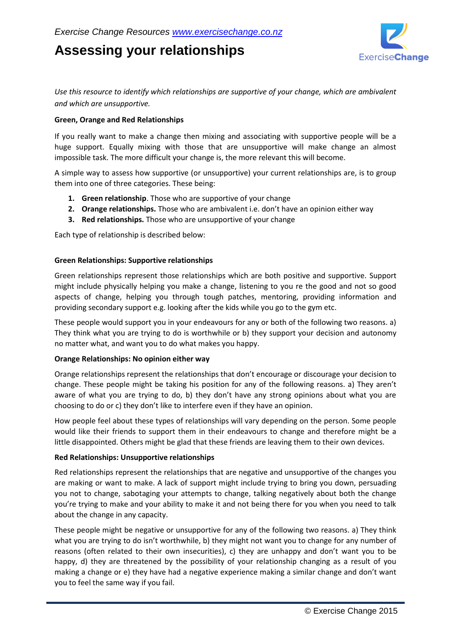# **Assessing your relationships**



*Use this resource to identify which relationships are supportive of your change, which are ambivalent and which are unsupportive.*

### **Green, Orange and Red Relationships**

If you really want to make a change then mixing and associating with supportive people will be a huge support. Equally mixing with those that are unsupportive will make change an almost impossible task. The more difficult your change is, the more relevant this will become.

A simple way to assess how supportive (or unsupportive) your current relationships are, is to group them into one of three categories. These being:

- **1. Green relationship**. Those who are supportive of your change
- **2. Orange relationships.** Those who are ambivalent i.e. don't have an opinion either way
- **3. Red relationships.** Those who are unsupportive of your change

Each type of relationship is described below:

#### **Green Relationships: Supportive relationships**

Green relationships represent those relationships which are both positive and supportive. Support might include physically helping you make a change, listening to you re the good and not so good aspects of change, helping you through tough patches, mentoring, providing information and providing secondary support e.g. looking after the kids while you go to the gym etc.

These people would support you in your endeavours for any or both of the following two reasons. a) They think what you are trying to do is worthwhile or b) they support your decision and autonomy no matter what, and want you to do what makes you happy.

#### **Orange Relationships: No opinion either way**

Orange relationships represent the relationships that don't encourage or discourage your decision to change. These people might be taking his position for any of the following reasons. a) They aren't aware of what you are trying to do, b) they don't have any strong opinions about what you are choosing to do or c) they don't like to interfere even if they have an opinion.

How people feel about these types of relationships will vary depending on the person. Some people would like their friends to support them in their endeavours to change and therefore might be a little disappointed. Others might be glad that these friends are leaving them to their own devices.

#### **Red Relationships: Unsupportive relationships**

Red relationships represent the relationships that are negative and unsupportive of the changes you are making or want to make. A lack of support might include trying to bring you down, persuading you not to change, sabotaging your attempts to change, talking negatively about both the change you're trying to make and your ability to make it and not being there for you when you need to talk about the change in any capacity.

These people might be negative or unsupportive for any of the following two reasons. a) They think what you are trying to do isn't worthwhile, b) they might not want you to change for any number of reasons (often related to their own insecurities), c) they are unhappy and don't want you to be happy, d) they are threatened by the possibility of your relationship changing as a result of you making a change or e) they have had a negative experience making a similar change and don't want you to feel the same way if you fail.